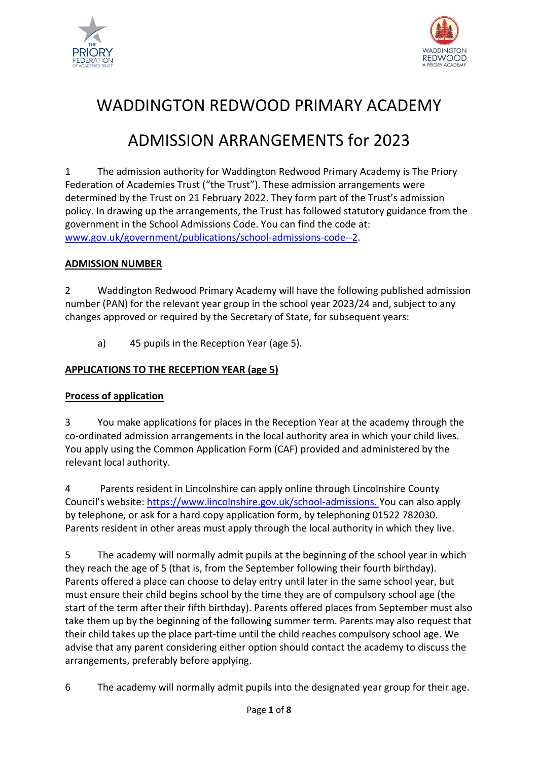



# WADDINGTON REDWOOD PRIMARY ACADEMY

# ADMISSION ARRANGEMENTS for 2023

1 The admission authority for Waddington Redwood Primary Academy is The Priory Federation of Academies Trust ("the Trust"). These admission arrangements were determined by the Trust on 21 February 2022. They form part of the Trust's admission policy. In drawing up the arrangements, the Trust has followed statutory guidance from the government in the School Admissions Code. You can find the code at: [www.gov.uk/government/publications/school-admissions-code--2.](http://www.gov.uk/government/publications/school-admissions-code--2)

## **ADMISSION NUMBER**

2 Waddington Redwood Primary Academy will have the following published admission number (PAN) for the relevant year group in the school year 2023/24 and, subject to any changes approved or required by the Secretary of State, for subsequent years:

a) 45 pupils in the Reception Year (age 5).

## **APPLICATIONS TO THE RECEPTION YEAR (age 5)**

## **Process of application**

3 You make applications for places in the Reception Year at the academy through the co-ordinated admission arrangements in the local authority area in which your child lives. You apply using the Common Application Form (CAF) provided and administered by the relevant local authority.

4 Parents resident in Lincolnshire can apply online through Lincolnshire County Council's website: [https://www.lincolnshire.gov.uk/school-admissions.](https://www.lincolnshire.gov.uk/school-admissions) You can also apply by telephone, or ask for a hard copy application form, by telephoning 01522 782030. Parents resident in other areas must apply through the local authority in which they live.

5 The academy will normally admit pupils at the beginning of the school year in which they reach the age of 5 (that is, from the September following their fourth birthday). Parents offered a place can choose to delay entry until later in the same school year, but must ensure their child begins school by the time they are of compulsory school age (the start of the term after their fifth birthday). Parents offered places from September must also take them up by the beginning of the following summer term. Parents may also request that their child takes up the place part-time until the child reaches compulsory school age. We advise that any parent considering either option should contact the academy to discuss the arrangements, preferably before applying.

6 The academy will normally admit pupils into the designated year group for their age.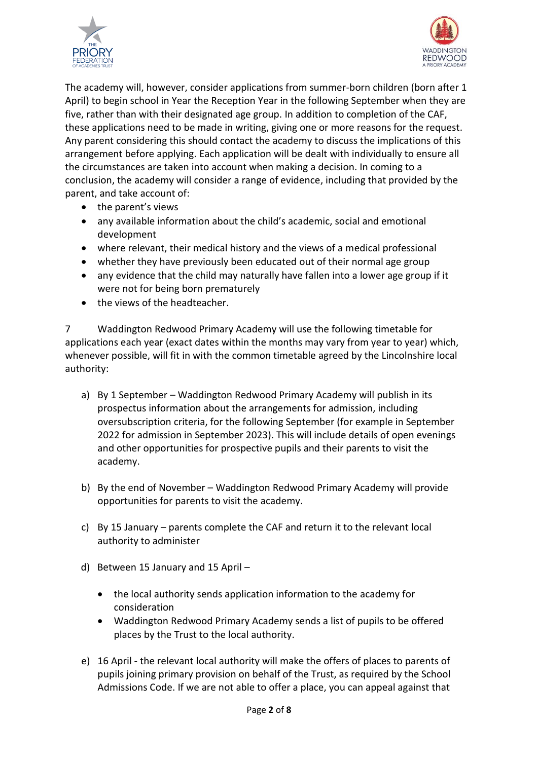



The academy will, however, consider applications from summer-born children (born after 1 April) to begin school in Year the Reception Year in the following September when they are five, rather than with their designated age group. In addition to completion of the CAF, these applications need to be made in writing, giving one or more reasons for the request. Any parent considering this should contact the academy to discuss the implications of this arrangement before applying. Each application will be dealt with individually to ensure all the circumstances are taken into account when making a decision. In coming to a conclusion, the academy will consider a range of evidence, including that provided by the parent, and take account of:

- the parent's views
- any available information about the child's academic, social and emotional development
- where relevant, their medical history and the views of a medical professional
- whether they have previously been educated out of their normal age group
- any evidence that the child may naturally have fallen into a lower age group if it were not for being born prematurely
- the views of the headteacher.

7 Waddington Redwood Primary Academy will use the following timetable for applications each year (exact dates within the months may vary from year to year) which, whenever possible, will fit in with the common timetable agreed by the Lincolnshire local authority:

- a) By 1 September Waddington Redwood Primary Academy will publish in its prospectus information about the arrangements for admission, including oversubscription criteria, for the following September (for example in September 2022 for admission in September 2023). This will include details of open evenings and other opportunities for prospective pupils and their parents to visit the academy.
- b) By the end of November Waddington Redwood Primary Academy will provide opportunities for parents to visit the academy.
- c) By 15 January parents complete the CAF and return it to the relevant local authority to administer
- d) Between 15 January and 15 April
	- the local authority sends application information to the academy for consideration
	- Waddington Redwood Primary Academy sends a list of pupils to be offered places by the Trust to the local authority.
- e) 16 April the relevant local authority will make the offers of places to parents of pupils joining primary provision on behalf of the Trust, as required by the School Admissions Code. If we are not able to offer a place, you can appeal against that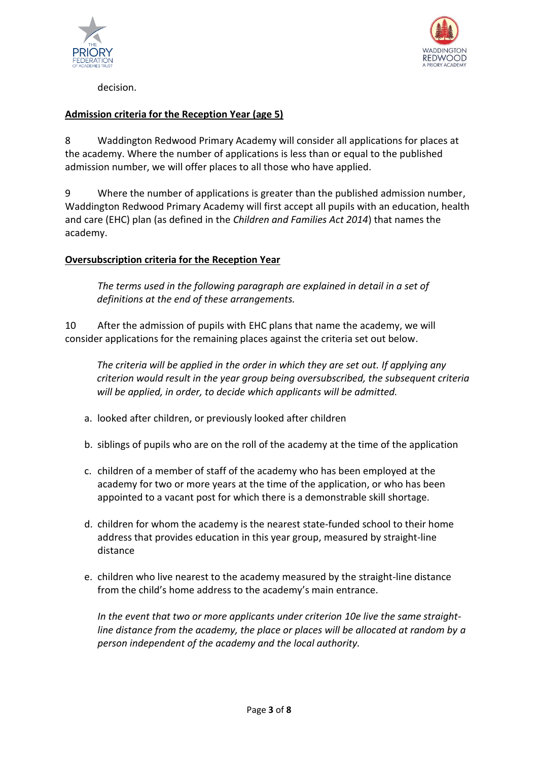



decision.

## **Admission criteria for the Reception Year (age 5)**

8 Waddington Redwood Primary Academy will consider all applications for places at the academy. Where the number of applications is less than or equal to the published admission number, we will offer places to all those who have applied.

9 Where the number of applications is greater than the published admission number, Waddington Redwood Primary Academy will first accept all pupils with an education, health and care (EHC) plan (as defined in the *Children and Families Act 2014*) that names the academy.

## **Oversubscription criteria for the Reception Year**

*The terms used in the following paragraph are explained in detail in a set of definitions at the end of these arrangements.*

10 After the admission of pupils with EHC plans that name the academy, we will consider applications for the remaining places against the criteria set out below.

*The criteria will be applied in the order in which they are set out. If applying any criterion would result in the year group being oversubscribed, the subsequent criteria will be applied, in order, to decide which applicants will be admitted.*

- a. looked after children, or previously looked after children
- b. siblings of pupils who are on the roll of the academy at the time of the application
- c. children of a member of staff of the academy who has been employed at the academy for two or more years at the time of the application, or who has been appointed to a vacant post for which there is a demonstrable skill shortage.
- d. children for whom the academy is the nearest state-funded school to their home address that provides education in this year group, measured by straight-line distance
- e. children who live nearest to the academy measured by the straight-line distance from the child's home address to the academy's main entrance.

*In the event that two or more applicants under criterion 10e live the same straightline distance from the academy, the place or places will be allocated at random by a person independent of the academy and the local authority.*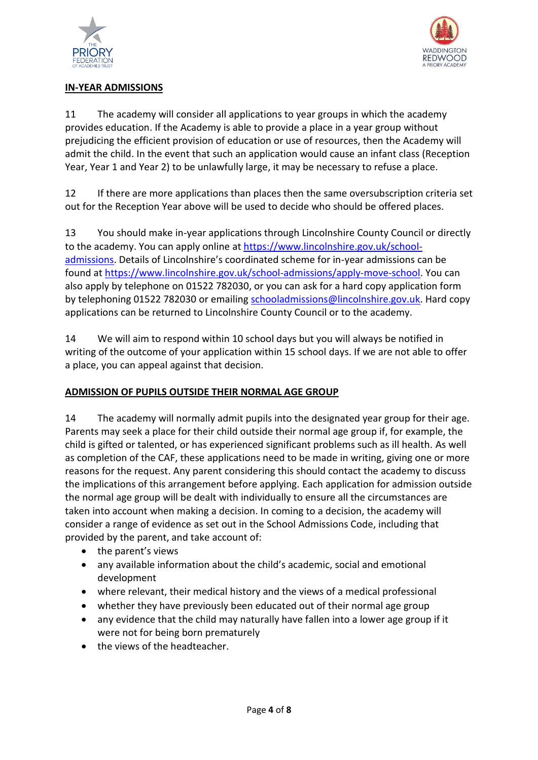



## **IN-YEAR ADMISSIONS**

11 The academy will consider all applications to year groups in which the academy provides education. If the Academy is able to provide a place in a year group without prejudicing the efficient provision of education or use of resources, then the Academy will admit the child. In the event that such an application would cause an infant class (Reception Year, Year 1 and Year 2) to be unlawfully large, it may be necessary to refuse a place.

12 If there are more applications than places then the same oversubscription criteria set out for the Reception Year above will be used to decide who should be offered places.

13 You should make in-year applications through Lincolnshire County Council or directly to the academy. You can apply online at [https://www.lincolnshire.gov.uk/school](https://www.lincolnshire.gov.uk/school-admissions)[admissions](https://www.lincolnshire.gov.uk/school-admissions). Details of Lincolnshire's coordinated scheme for in-year admissions can be found at [https://www.lincolnshire.gov.uk/school-admissions/apply-move-school.](https://www.lincolnshire.gov.uk/school-admissions/apply-move-school) You can also apply by telephone on 01522 782030, or you can ask for a hard copy application form by telephoning 01522 782030 or emailin[g schooladmissions@lincolnshire.gov.uk.](mailto:schooladmissions@lincolnshire.gov.uk) Hard copy applications can be returned to Lincolnshire County Council or to the academy.

14 We will aim to respond within 10 school days but you will always be notified in writing of the outcome of your application within 15 school days. If we are not able to offer a place, you can appeal against that decision.

## **ADMISSION OF PUPILS OUTSIDE THEIR NORMAL AGE GROUP**

14 The academy will normally admit pupils into the designated year group for their age. Parents may seek a place for their child outside their normal age group if, for example, the child is gifted or talented, or has experienced significant problems such as ill health. As well as completion of the CAF, these applications need to be made in writing, giving one or more reasons for the request. Any parent considering this should contact the academy to discuss the implications of this arrangement before applying. Each application for admission outside the normal age group will be dealt with individually to ensure all the circumstances are taken into account when making a decision. In coming to a decision, the academy will consider a range of evidence as set out in the School Admissions Code, including that provided by the parent, and take account of:

- the parent's views
- any available information about the child's academic, social and emotional development
- where relevant, their medical history and the views of a medical professional
- whether they have previously been educated out of their normal age group
- any evidence that the child may naturally have fallen into a lower age group if it were not for being born prematurely
- the views of the headteacher.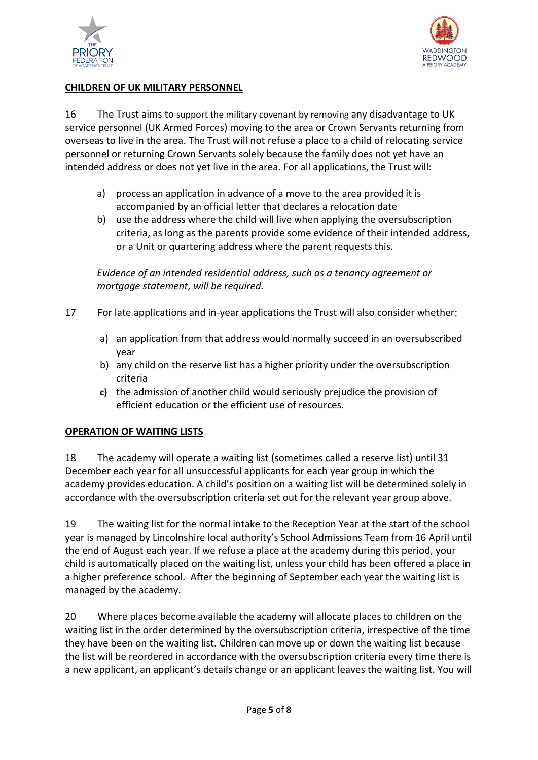



## **CHILDREN OF UK MILITARY PERSONNEL**

16 The Trust aims to support the military covenant by removing any disadvantage to UK service personnel (UK Armed Forces) moving to the area or Crown Servants returning from overseas to live in the area. The Trust will not refuse a place to a child of relocating service personnel or returning Crown Servants solely because the family does not yet have an intended address or does not yet live in the area. For all applications, the Trust will:

- a) process an application in advance of a move to the area provided it is accompanied by an official letter that declares a relocation date
- b) use the address where the child will live when applying the oversubscription criteria, as long as the parents provide some evidence of their intended address, or a Unit or quartering address where the parent requests this.

*Evidence of an intended residential address, such as a tenancy agreement or mortgage statement, will be required.* 

- 17 For late applications and in-year applications the Trust will also consider whether:
	- a) an application from that address would normally succeed in an oversubscribed year
	- b) any child on the reserve list has a higher priority under the oversubscription criteria
	- **c)** the admission of another child would seriously prejudice the provision of efficient education or the efficient use of resources.

## **OPERATION OF WAITING LISTS**

18 The academy will operate a waiting list (sometimes called a reserve list) until 31 December each year for all unsuccessful applicants for each year group in which the academy provides education. A child's position on a waiting list will be determined solely in accordance with the oversubscription criteria set out for the relevant year group above.

19 The waiting list for the normal intake to the Reception Year at the start of the school year is managed by Lincolnshire local authority's School Admissions Team from 16 April until the end of August each year. If we refuse a place at the academy during this period, your child is automatically placed on the waiting list, unless your child has been offered a place in a higher preference school. After the beginning of September each year the waiting list is managed by the academy.

20 Where places become available the academy will allocate places to children on the waiting list in the order determined by the oversubscription criteria, irrespective of the time they have been on the waiting list. Children can move up or down the waiting list because the list will be reordered in accordance with the oversubscription criteria every time there is a new applicant, an applicant's details change or an applicant leaves the waiting list. You will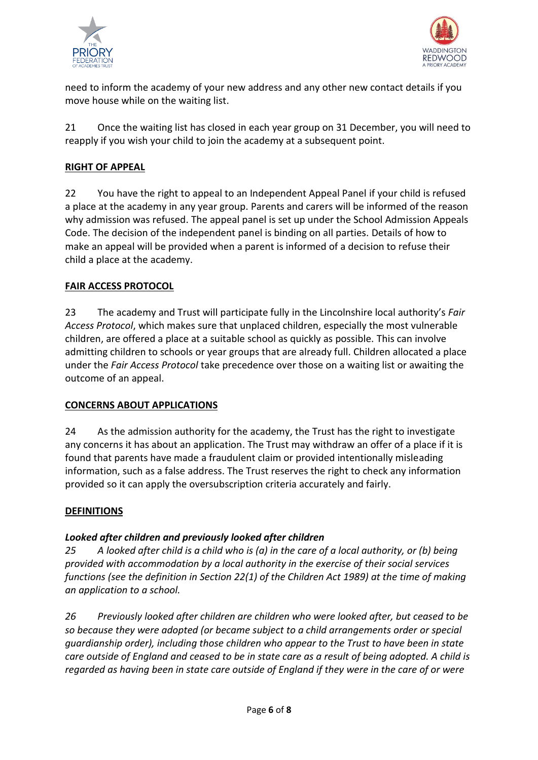



need to inform the academy of your new address and any other new contact details if you move house while on the waiting list.

21 Once the waiting list has closed in each year group on 31 December, you will need to reapply if you wish your child to join the academy at a subsequent point.

## **RIGHT OF APPEAL**

22 You have the right to appeal to an Independent Appeal Panel if your child is refused a place at the academy in any year group. Parents and carers will be informed of the reason why admission was refused. The appeal panel is set up under the School Admission Appeals Code. The decision of the independent panel is binding on all parties. Details of how to make an appeal will be provided when a parent is informed of a decision to refuse their child a place at the academy.

## **FAIR ACCESS PROTOCOL**

23 The academy and Trust will participate fully in the Lincolnshire local authority's *Fair Access Protocol*, which makes sure that unplaced children, especially the most vulnerable children, are offered a place at a suitable school as quickly as possible. This can involve admitting children to schools or year groups that are already full. Children allocated a place under the *Fair Access Protocol* take precedence over those on a waiting list or awaiting the outcome of an appeal.

## **CONCERNS ABOUT APPLICATIONS**

24 As the admission authority for the academy, the Trust has the right to investigate any concerns it has about an application. The Trust may withdraw an offer of a place if it is found that parents have made a fraudulent claim or provided intentionally misleading information, such as a false address. The Trust reserves the right to check any information provided so it can apply the oversubscription criteria accurately and fairly.

## **DEFINITIONS**

## *Looked after children and previously looked after children*

*25 A looked after child is a child who is (a) in the care of a local authority, or (b) being provided with accommodation by a local authority in the exercise of their social services functions (see the definition in Section 22(1) of the Children Act 1989) at the time of making an application to a school.*

*26 Previously looked after children are children who were looked after, but ceased to be so because they were adopted (or became subject to a child arrangements order or special guardianship order), including those children who appear to the Trust to have been in state care outside of England and ceased to be in state care as a result of being adopted. A child is regarded as having been in state care outside of England if they were in the care of or were*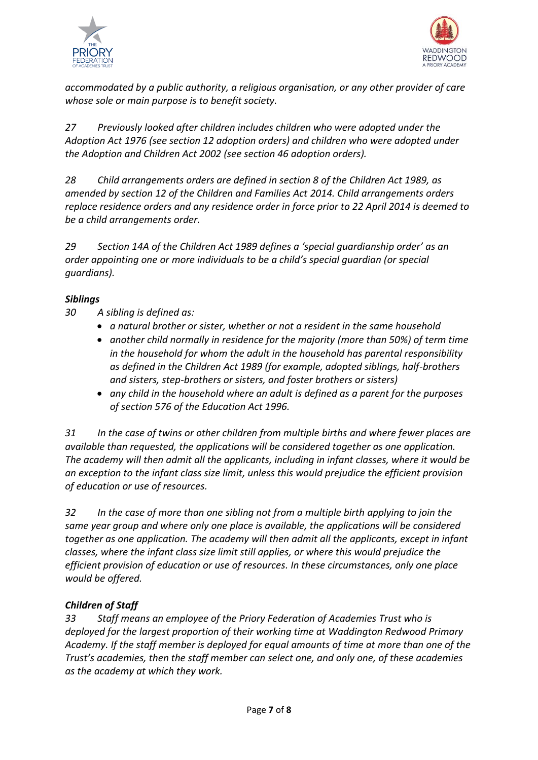



*accommodated by a public authority, a religious organisation, or any other provider of care whose sole or main purpose is to benefit society.*

*27 Previously looked after children includes children who were adopted under the Adoption Act 1976 (see section 12 adoption orders) and children who were adopted under the Adoption and Children Act 2002 (see section 46 adoption orders).* 

*28 Child arrangements orders are defined in section 8 of the Children Act 1989, as amended by section 12 of the Children and Families Act 2014. Child arrangements orders replace residence orders and any residence order in force prior to 22 April 2014 is deemed to be a child arrangements order.* 

*29 Section 14A of the Children Act 1989 defines a 'special guardianship order' as an order appointing one or more individuals to be a child's special guardian (or special guardians).*

## *Siblings*

- *30 A sibling is defined as:*
	- *a natural brother or sister, whether or not a resident in the same household*
	- *another child normally in residence for the majority (more than 50%) of term time in the household for whom the adult in the household has parental responsibility as defined in the Children Act 1989 (for example, adopted siblings, half-brothers and sisters, step-brothers or sisters, and foster brothers or sisters)*
	- *any child in the household where an adult is defined as a parent for the purposes of section 576 of the Education Act 1996.*

*31 In the case of twins or other children from multiple births and where fewer places are available than requested, the applications will be considered together as one application. The academy will then admit all the applicants, including in infant classes, where it would be an exception to the infant class size limit, unless this would prejudice the efficient provision of education or use of resources.*

*32 In the case of more than one sibling not from a multiple birth applying to join the same year group and where only one place is available, the applications will be considered together as one application. The academy will then admit all the applicants, except in infant classes, where the infant class size limit still applies, or where this would prejudice the efficient provision of education or use of resources. In these circumstances, only one place would be offered.*

## *Children of Staff*

*33 Staff means an employee of the Priory Federation of Academies Trust who is deployed for the largest proportion of their working time at Waddington Redwood Primary Academy. If the staff member is deployed for equal amounts of time at more than one of the Trust's academies, then the staff member can select one, and only one, of these academies as the academy at which they work.*